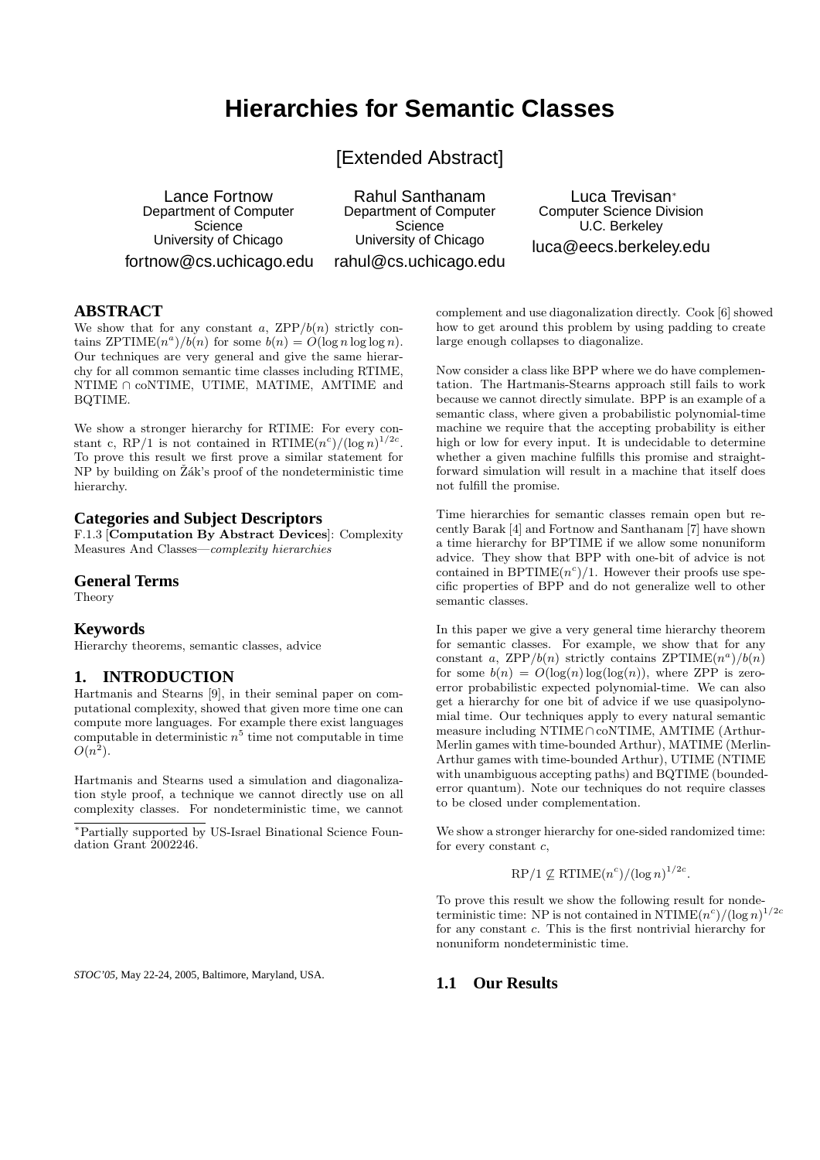# **Hierarchies for Semantic Classes**

[Extended Abstract]

Lance Fortnow Department of Computer **Science** University of Chicago fortnow@cs.uchicago.edu

Rahul Santhanam Department of Computer Science University of Chicago rahul@cs.uchicago.edu

Luca Trevisan<sup>∗</sup> Computer Science Division U.C. Berkeley luca@eecs.berkeley.edu

#### **ABSTRACT**

We show that for any constant a,  $\mathsf{ZPP}/b(n)$  strictly contains  $ZPTIME(n^{a})/b(n)$  for some  $b(n) = O(\log n \log \log n)$ . Our techniques are very general and give the same hierarchy for all common semantic time classes including RTIME, NTIME ∩ coNTIME, UTIME, MATIME, AMTIME and BQTIME.

We show a stronger hierarchy for RTIME: For every constant c, RP/1 is not contained in RTIME $(n^c)/(\log n)^{1/2c}$ . To prove this result we first prove a similar statement for  $NP$  by building on  $\tilde{Z}$ ák's proof of the nondeterministic time hierarchy.

## **Categories and Subject Descriptors**

F.1.3 [Computation By Abstract Devices]: Complexity Measures And Classes—complexity hierarchies

#### **General Terms**

Theory

#### **Keywords**

Hierarchy theorems, semantic classes, advice

## **1. INTRODUCTION**

Hartmanis and Stearns [9], in their seminal paper on computational complexity, showed that given more time one can compute more languages. For example there exist languages computable in deterministic  $n^5$  time not computable in time  $O(n^2)$ .

Hartmanis and Stearns used a simulation and diagonalization style proof, a technique we cannot directly use on all complexity classes. For nondeterministic time, we cannot

<sup>∗</sup>Partially supported by US-Israel Binational Science Foundation Grant 2002246.

complement and use diagonalization directly. Cook [6] showed how to get around this problem by using padding to create large enough collapses to diagonalize.

Now consider a class like BPP where we do have complementation. The Hartmanis-Stearns approach still fails to work because we cannot directly simulate. BPP is an example of a semantic class, where given a probabilistic polynomial-time machine we require that the accepting probability is either high or low for every input. It is undecidable to determine whether a given machine fulfills this promise and straightforward simulation will result in a machine that itself does not fulfill the promise.

Time hierarchies for semantic classes remain open but recently Barak [4] and Fortnow and Santhanam [7] have shown a time hierarchy for BPTIME if we allow some nonuniform advice. They show that BPP with one-bit of advice is not contained in BPTIME $(n<sup>c</sup>)/1$ . However their proofs use specific properties of BPP and do not generalize well to other semantic classes.

In this paper we give a very general time hierarchy theorem for semantic classes. For example, we show that for any constant a, ZPP/ $b(n)$  strictly contains ZPTIME $(n^a)/b(n)$ for some  $b(n) = O(\log(n) \log(\log(n))$ , where ZPP is zeroerror probabilistic expected polynomial-time. We can also get a hierarchy for one bit of advice if we use quasipolynomial time. Our techniques apply to every natural semantic measure including NTIME∩coNTIME, AMTIME (Arthur-Merlin games with time-bounded Arthur), MATIME (Merlin-Arthur games with time-bounded Arthur), UTIME (NTIME with unambiguous accepting paths) and BQTIME (boundederror quantum). Note our techniques do not require classes to be closed under complementation.

We show a stronger hierarchy for one-sided randomized time: for every constant  $c$ ,

 $RP/1 \nsubseteq RTIME(n^c)/(\log n)^{1/2c}$ .

To prove this result we show the following result for nondeterministic time: NP is not contained in  $\mathrm{NTIME}(n^c)/(\log n)^{1/2c}$ for any constant c. This is the first nontrivial hierarchy for nonuniform nondeterministic time.

*STOC'05,* May 22-24, 2005, Baltimore, Maryland, USA.

**1.1 Our Results**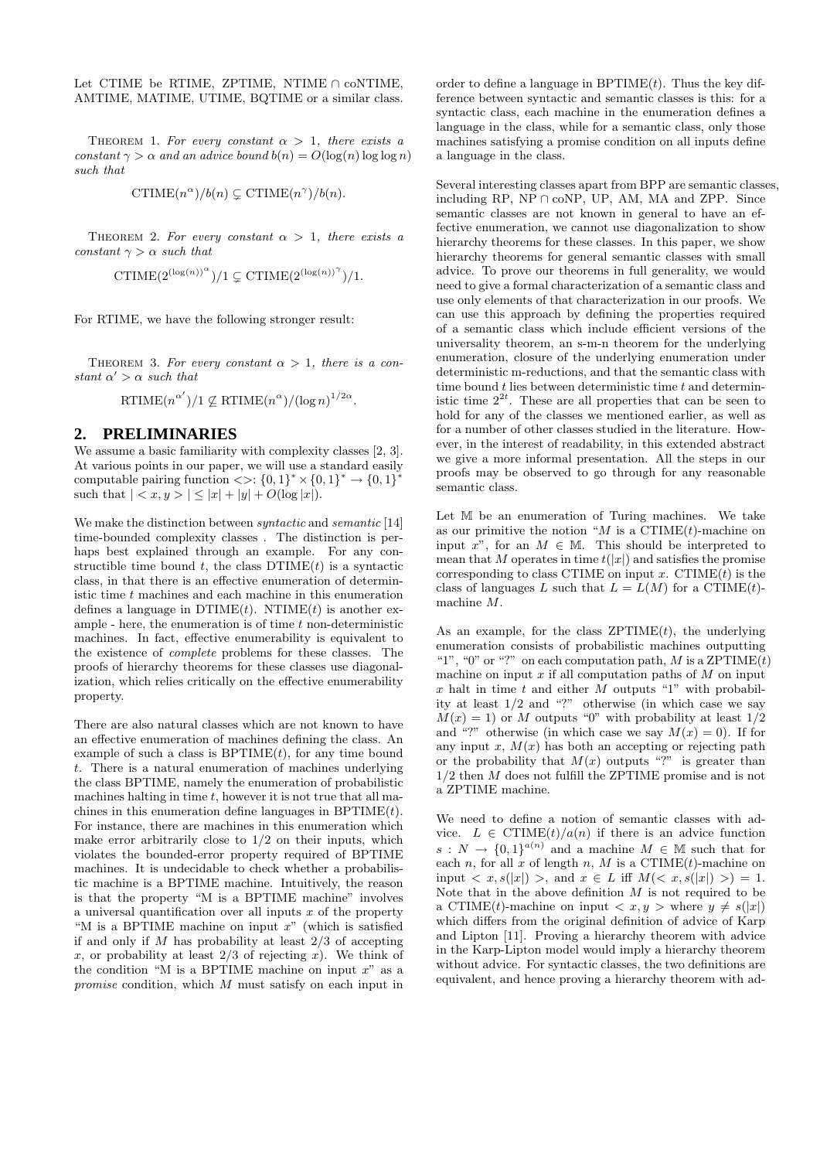Let CTIME be RTIME, ZPTIME, NTIME ∩ coNTIME, AMTIME, MATIME, UTIME, BQTIME or a similar class.

THEOREM 1. For every constant  $\alpha > 1$ , there exists a constant  $\gamma > \alpha$  and an advice bound  $b(n) = O(\log(n) \log \log n)$ such that

$$
\mathrm{CTIME}(n^{\alpha})/b(n) \subsetneq \mathrm{CTIME}(n^{\gamma})/b(n).
$$

THEOREM 2. For every constant  $\alpha > 1$ , there exists a constant  $\gamma > \alpha$  such that

CTIME $(2^{(\log(n))^\alpha})/1 \subsetneq$ CTIME $(2^{(\log(n))^\gamma})/1$ .

For RTIME, we have the following stronger result:

THEOREM 3. For every constant  $\alpha > 1$ , there is a constant  $\alpha' > \alpha$  such that

RTIME $(n^{\alpha'})/1 \nsubseteq \mathrm{RTIME}(n^{\alpha})/(\log n)^{1/2\alpha}$ .

## **2. PRELIMINARIES**

We assume a basic familiarity with complexity classes [2, 3]. At various points in our paper, we will use a standard easily computable pairing function  $\langle \rangle$ :  $\{0,1\}^* \times \{0,1\}^* \rightarrow \{0,1\}^*$ such that  $| \langle x, y \rangle | \langle |x| + |y| + O(\log |x|).$ 

We make the distinction between syntactic and semantic [14] time-bounded complexity classes . The distinction is perhaps best explained through an example. For any constructible time bound  $t$ , the class  $DTIME(t)$  is a syntactic class, in that there is an effective enumeration of deterministic time  $t$  machines and each machine in this enumeration defines a language in  $DTIME(t)$ . NTIME $(t)$  is another example - here, the enumeration is of time  $t$  non-deterministic machines. In fact, effective enumerability is equivalent to the existence of complete problems for these classes. The proofs of hierarchy theorems for these classes use diagonalization, which relies critically on the effective enumerability property.

There are also natural classes which are not known to have an effective enumeration of machines defining the class. An example of such a class is  $BPTIME(t)$ , for any time bound t. There is a natural enumeration of machines underlying the class BPTIME, namely the enumeration of probabilistic machines halting in time  $t$ , however it is not true that all machines in this enumeration define languages in  $BPTIME(t)$ . For instance, there are machines in this enumeration which make error arbitrarily close to 1/2 on their inputs, which violates the bounded-error property required of BPTIME machines. It is undecidable to check whether a probabilistic machine is a BPTIME machine. Intuitively, the reason is that the property "M is a BPTIME machine" involves a universal quantification over all inputs  $x$  of the property "M is a BPTIME machine on input  $x$ " (which is satisfied if and only if  $M$  has probability at least  $2/3$  of accepting x, or probability at least  $2/3$  of rejecting x). We think of the condition "M is a BPTIME machine on input  $x$ " as a promise condition, which M must satisfy on each input in order to define a language in  $BPTIME(t)$ . Thus the key difference between syntactic and semantic classes is this: for a syntactic class, each machine in the enumeration defines a language in the class, while for a semantic class, only those machines satisfying a promise condition on all inputs define a language in the class.

Several interesting classes apart from BPP are semantic classes, including RP,  $NP \cap coNP$ , UP, AM, MA and ZPP. Since semantic classes are not known in general to have an effective enumeration, we cannot use diagonalization to show hierarchy theorems for these classes. In this paper, we show hierarchy theorems for general semantic classes with small advice. To prove our theorems in full generality, we would need to give a formal characterization of a semantic class and use only elements of that characterization in our proofs. We can use this approach by defining the properties required of a semantic class which include efficient versions of the universality theorem, an s-m-n theorem for the underlying enumeration, closure of the underlying enumeration under deterministic m-reductions, and that the semantic class with time bound  $t$  lies between deterministic time  $t$  and deterministic time  $2^{2t}$ . These are all properties that can be seen to hold for any of the classes we mentioned earlier, as well as for a number of other classes studied in the literature. However, in the interest of readability, in this extended abstract we give a more informal presentation. All the steps in our proofs may be observed to go through for any reasonable semantic class.

Let M be an enumeration of Turing machines. We take as our primitive the notion "M is a CTIME $(t)$ -machine on input x", for an  $M \in M$ . This should be interpreted to mean that M operates in time  $t(|x|)$  and satisfies the promise corresponding to class CTIME on input x. CTIME $(t)$  is the class of languages L such that  $L = L(M)$  for a CTIME(t)machine M.

As an example, for the class  $ZPTIME(t)$ , the underlying enumeration consists of probabilistic machines outputting "1", "0" or "?" on each computation path, M is a ZPTIME $(t)$ machine on input  $x$  if all computation paths of  $M$  on input x halt in time t and either  $M$  outputs "1" with probability at least 1/2 and "?" otherwise (in which case we say  $M(x) = 1$  or M outputs "0" with probability at least  $1/2$ and "?" otherwise (in which case we say  $M(x) = 0$ ). If for any input x,  $M(x)$  has both an accepting or rejecting path or the probability that  $M(x)$  outputs "?" is greater than 1/2 then M does not fulfill the ZPTIME promise and is not a ZPTIME machine.

We need to define a notion of semantic classes with advice.  $L \in \text{CTIME}(t)/a(n)$  if there is an advice function  $s: N \to \{0,1\}^{a(n)}$  and a machine  $M \in \mathbb{M}$  such that for each n, for all x of length n, M is a CTIME $(t)$ -machine on input  $\langle x, s(|x|) \rangle$ , and  $x \in L$  iff  $M(\langle x, s(|x|) \rangle) = 1$ . Note that in the above definition  $M$  is not required to be a CTIME(t)-machine on input  $\langle x, y \rangle$  where  $y \neq s(|x|)$ which differs from the original definition of advice of Karp and Lipton [11]. Proving a hierarchy theorem with advice in the Karp-Lipton model would imply a hierarchy theorem without advice. For syntactic classes, the two definitions are equivalent, and hence proving a hierarchy theorem with ad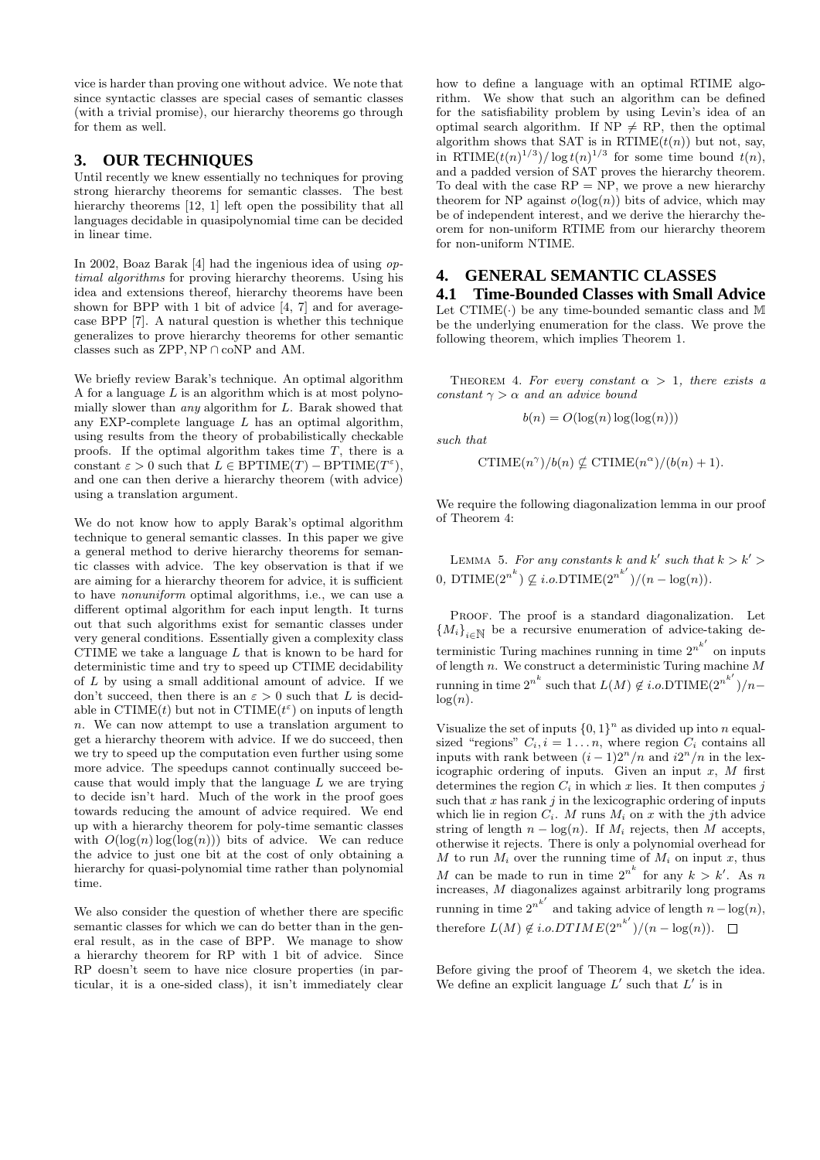vice is harder than proving one without advice. We note that since syntactic classes are special cases of semantic classes (with a trivial promise), our hierarchy theorems go through for them as well.

#### **3. OUR TECHNIQUES**

Until recently we knew essentially no techniques for proving strong hierarchy theorems for semantic classes. The best hierarchy theorems [12, 1] left open the possibility that all languages decidable in quasipolynomial time can be decided in linear time.

In 2002, Boaz Barak [4] had the ingenious idea of using optimal algorithms for proving hierarchy theorems. Using his idea and extensions thereof, hierarchy theorems have been shown for BPP with 1 bit of advice [4, 7] and for averagecase BPP [7]. A natural question is whether this technique generalizes to prove hierarchy theorems for other semantic classes such as ZPP, NP ∩ coNP and AM.

We briefly review Barak's technique. An optimal algorithm A for a language  $L$  is an algorithm which is at most polynomially slower than any algorithm for L. Barak showed that any EXP-complete language  $L$  has an optimal algorithm, using results from the theory of probabilistically checkable proofs. If the optimal algorithm takes time  $T$ , there is a constant  $\varepsilon > 0$  such that  $L \in \text{BPTIME}(T) - \text{BPTIME}(T^{\varepsilon}),$ and one can then derive a hierarchy theorem (with advice) using a translation argument.

We do not know how to apply Barak's optimal algorithm technique to general semantic classes. In this paper we give a general method to derive hierarchy theorems for semantic classes with advice. The key observation is that if we are aiming for a hierarchy theorem for advice, it is sufficient to have nonuniform optimal algorithms, i.e., we can use a different optimal algorithm for each input length. It turns out that such algorithms exist for semantic classes under very general conditions. Essentially given a complexity class CTIME we take a language  $L$  that is known to be hard for deterministic time and try to speed up CTIME decidability of L by using a small additional amount of advice. If we don't succeed, then there is an  $\varepsilon > 0$  such that L is decidable in CTIME(*t*) but not in CTIME( $t^{\varepsilon}$ ) on inputs of length n. We can now attempt to use a translation argument to get a hierarchy theorem with advice. If we do succeed, then we try to speed up the computation even further using some more advice. The speedups cannot continually succeed because that would imply that the language  $L$  we are trying to decide isn't hard. Much of the work in the proof goes towards reducing the amount of advice required. We end up with a hierarchy theorem for poly-time semantic classes with  $O(\log(n) \log(\log(n)))$  bits of advice. We can reduce the advice to just one bit at the cost of only obtaining a hierarchy for quasi-polynomial time rather than polynomial time.

We also consider the question of whether there are specific semantic classes for which we can do better than in the general result, as in the case of BPP. We manage to show a hierarchy theorem for RP with 1 bit of advice. Since RP doesn't seem to have nice closure properties (in particular, it is a one-sided class), it isn't immediately clear

how to define a language with an optimal RTIME algorithm. We show that such an algorithm can be defined for the satisfiability problem by using Levin's idea of an optimal search algorithm. If  $NP \neq RP$ , then the optimal algorithm shows that SAT is in  $\mathrm{RTIME}(t(n))$  but not, say, in RTIME $(t(n)^{1/3})/\log t(n)^{1/3}$  for some time bound  $t(n)$ , and a padded version of SAT proves the hierarchy theorem. To deal with the case  $RP = NP$ , we prove a new hierarchy theorem for NP against  $o(log(n))$  bits of advice, which may be of independent interest, and we derive the hierarchy theorem for non-uniform RTIME from our hierarchy theorem for non-uniform NTIME.

## **4. GENERAL SEMANTIC CLASSES**

**4.1 Time-Bounded Classes with Small Advice** Let  $CTIME(\cdot)$  be any time-bounded semantic class and M be the underlying enumeration for the class. We prove the following theorem, which implies Theorem 1.

THEOREM 4. For every constant  $\alpha > 1$ , there exists a constant  $\gamma > \alpha$  and an advice bound

$$
b(n) = O(\log(n) \log(\log(n)))
$$

such that

$$
\mathrm{CTIME}(n^{\gamma})/b(n) \nsubseteq \mathrm{CTIME}(n^{\alpha})/(b(n) + 1).
$$

We require the following diagonalization lemma in our proof of Theorem 4:

LEMMA 5. For any constants k and k' such that  $k > k'$ 0, DTIME $(2^{n^k}) \nsubseteq i.o.DTIME(2^{n^{k'}})/(n - \log(n)).$ 

PROOF. The proof is a standard diagonalization. Let  ${M_i}_{i\in\mathbb{N}}$  be a recursive enumeration of advice-taking deterministic Turing machines running in time  $2^{n^{k'}}$  on inputs of length  $n$ . We construct a deterministic Turing machine  $M$ running in time  $2^{n^k}$  such that  $L(M) \notin i.o.\text{DTIME}(2^{n^{k'}})/n$  $log(n)$ .

Visualize the set of inputs  $\{0,1\}^n$  as divided up into n equalsized "regions"  $C_i$ ,  $i = 1...n$ , where region  $C_i$  contains all inputs with rank between  $(i-1)2^n/n$  and  $i2^n/n$  in the lexicographic ordering of inputs. Given an input  $x$ ,  $M$  first determines the region  $C_i$  in which x lies. It then computes  $j$ such that  $x$  has rank  $j$  in the lexicographic ordering of inputs which lie in region  $C_i$ . M runs  $M_i$  on x with the jth advice string of length  $n - \log(n)$ . If  $M_i$  rejects, then M accepts, otherwise it rejects. There is only a polynomial overhead for M to run  $M_i$  over the running time of  $M_i$  on input x, thus M can be made to run in time  $2^{n^k}$  for any  $k > k'$ . As n increases, M diagonalizes against arbitrarily long programs running in time  $2^{n^{k'}}$  and taking advice of length  $n - \log(n)$ , therefore  $L(M) \notin i.o.DTIME(2^{n^{k'}})/(n - \log(n)).$ 

Before giving the proof of Theorem 4, we sketch the idea. We define an explicit language  $L'$  such that  $L'$  is in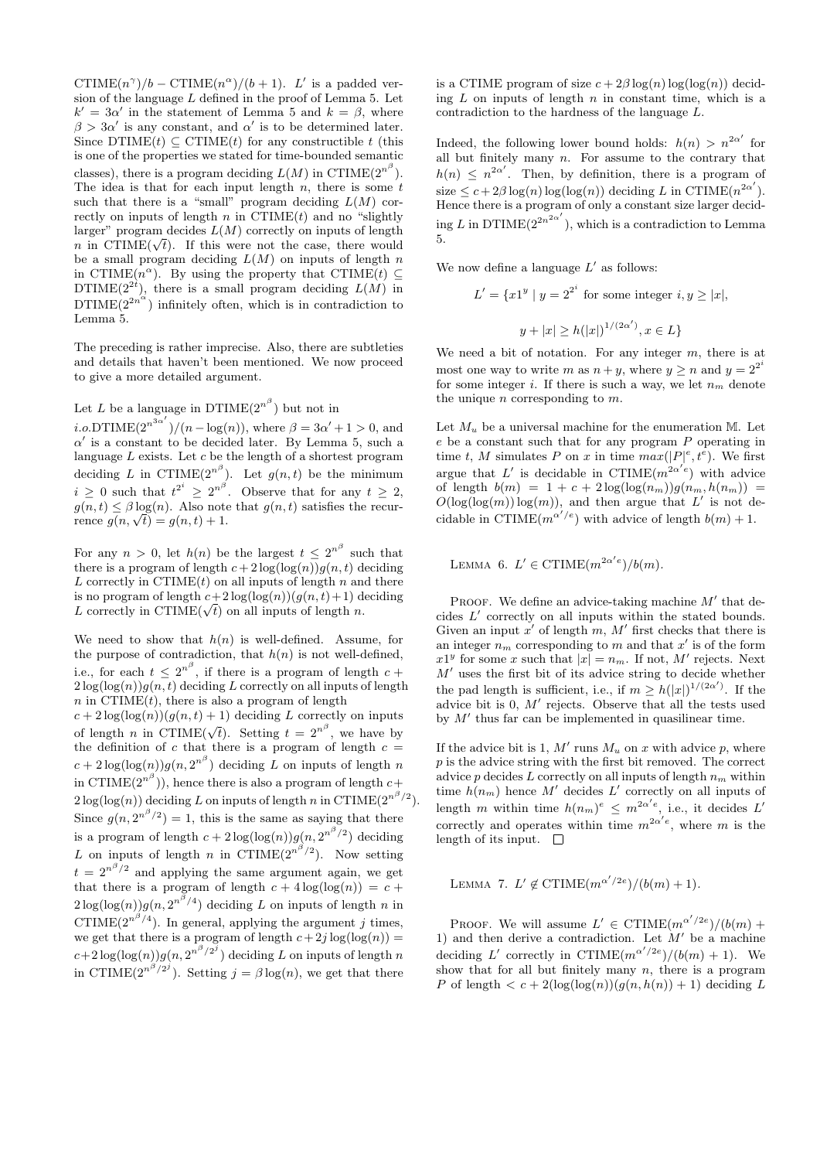CTIME $(n^{\gamma})/b - \text{CTIME}(n^{\alpha})/(b+1)$ . L' is a padded version of the language L defined in the proof of Lemma 5. Let  $k' = 3\alpha'$  in the statement of Lemma 5 and  $k = \beta$ , where  $\beta > 3\alpha'$  is any constant, and  $\alpha'$  is to be determined later. Since DTIME $(t) \subseteq \text{CTIME}(t)$  for any constructible t (this is one of the properties we stated for time-bounded semantic classes), there is a program deciding  $L(M)$  in CTIME( $2^{n^{\beta}}$ ). The idea is that for each input length  $n$ , there is some  $t$ such that there is a "small" program deciding  $L(M)$  correctly on inputs of length  $n$  in CTIME $(t)$  and no "slightly" larger" program decides  $L(M)$  correctly on inputs of length larger program decides  $L(M)$  correctly on inputs of length n in CTIME( $\sqrt{t}$ ). If this were not the case, there would be a small program deciding  $L(M)$  on inputs of length n in CTIME $(n^{\alpha})$ . By using the property that CTIME $(t) \subseteq$ DTIME( $2^{2i}$ ), there is a small program deciding  $L(M)$  in  $DTIME(2^{2n^{\alpha}})$  infinitely often, which is in contradiction to Lemma 5.

The preceding is rather imprecise. Also, there are subtleties and details that haven't been mentioned. We now proceed to give a more detailed argument.

Let L be a language in  $DTIME(2^{n^{\beta}})$  but not in

*i.o.*DTIME $(2^{n^{3\alpha'}})/(n - \log(n))$ , where  $\beta = 3\alpha' + 1 > 0$ , and  $\alpha'$  is a constant to be decided later. By Lemma 5, such a language  $L$  exists. Let  $c$  be the length of a shortest program deciding L in CTIME $(2^{n^{\beta}})$ . Let  $g(n,t)$  be the minimum  $i \geq 0$  such that  $t^{2^i} \geq 2^{n^{\beta}}$ . Observe that for any  $t \geq 2$ ,  $q(n, t) \leq \beta \log(n)$ . Also note that  $q(n, t)$  satisfies the recur $g(n, t) \le \beta \log(n)$ . Also note<br>rence  $g(n, \sqrt{t}) = g(n, t) + 1$ .

For any  $n > 0$ , let  $h(n)$  be the largest  $t \leq 2^{n^{\beta}}$  such that there is a program of length  $c + 2 \log(\log(n)) g(n, t)$  deciding L correctly in  $CTIME(t)$  on all inputs of length n and there is no program of length  $c+2\log(\log(n))(q(n,t)+1)$  deciding is no program of length  $c+2\log(\log(n))(g(n,t)+1)$  d<br>L correctly in CTIME( $\sqrt{t}$ ) on all inputs of length n.

We need to show that  $h(n)$  is well-defined. Assume, for the purpose of contradiction, that  $h(n)$  is not well-defined, i.e., for each  $t \leq 2^{n^{\beta}}$ , if there is a program of length  $c +$  $2\log(\log(n))g(n,t)$  deciding L correctly on all inputs of length  $n$  in  $\widetilde{\text{CTIME}}(t)$ , there is also a program of length  $c + 2 \log(\log(n))(g(n, t) + 1)$  deciding L correctly on inputs of length *n* in CTIME( $\sqrt{t}$ ). Setting  $t = 2^{n^{\beta}}$ , we have by the definition of c that there is a program of length  $c =$  $c + 2\log(\log(n))g(n, 2^{n^{\beta}})$  deciding L on inputs of length n in CTIME $(2^{n^{\beta}})$ ), hence there is also a program of length  $c+$  $2\log(\log(n))$  deciding L on inputs of length n in CTIME $(2^{n^{\beta}/2})$ . Since  $g(n, 2^{n^{\beta}/2}) = 1$ , this is the same as saying that there is a program of length  $c + 2\log(\log(n))g(n, 2^{n^{\beta}/2})$  deciding L on inputs of length n in CTIME $(2^{n^{\beta}/2})$ . Now setting  $t = 2^{n^{\beta}/2}$  and applying the same argument again, we get that there is a program of length  $c + 4 \log(\log(n)) = c +$  $2\log(\log(n))g(n, 2^{n^{\beta}/4})$  deciding L on inputs of length n in CTIME( $2^{n^{\beta}/4}$ ). In general, applying the argument j times, we get that there is a program of length  $c+2j \log(\log(n)) =$  $c+2\log(\log(n))g(n, 2^{n^{\beta}/2^{j}})$  deciding L on inputs of length n in CTIME $(2^{n^{\beta}/2^{j}})$ . Setting  $j = \beta \log(n)$ , we get that there

is a CTIME program of size  $c + 2\beta \log(n) \log(\log(n))$  deciding  $L$  on inputs of length  $n$  in constant time, which is a contradiction to the hardness of the language L.

Indeed, the following lower bound holds:  $h(n) > n^{2\alpha'}$  for all but finitely many  $n$ . For assume to the contrary that  $h(n) \leq n^{2\alpha'}$ . Then, by definition, there is a program of size  $\leq c + 2\beta \log(n) \log(\log(n))$  deciding L in CTIME $(n^{2\alpha'})$ . Hence there is a program of only a constant size larger deciding L in DTIME $(2^{2n^2\alpha'})$ , which is a contradiction to Lemma 5.

We now define a language  $L'$  as follows:

$$
L' = \{x1^y \mid y = 2^{2^i} \text{ for some integer } i, y \ge |x|,
$$
  

$$
y + |x| \ge h(|x|)^{1/(2\alpha')}, x \in L\}
$$

We need a bit of notation. For any integer  $m$ , there is at most one way to write m as  $n+y$ , where  $y \ge n$  and  $y = 2^{2^i}$ for some integer i. If there is such a way, we let  $n_m$  denote the unique  $n$  corresponding to  $m$ .

Let  $M_u$  be a universal machine for the enumeration M. Let  $e$  be a constant such that for any program  $P$  operating in time t, M simulates P on x in time  $max(|P|^e, t^e)$ . We first argue that L' is decidable in CTIME $(m^{2\alpha'e})$  with advice of length  $b(m) = 1 + c + 2 \log(\log(n_m))g(n_m, h(n_m)) =$  $O(\log(\log(m))\log(m))$ , and then argue that L' is not decidable in CTIME $(m^{\alpha'/e})$  with advice of length  $b(m) + 1$ .

LEMMA 6.  $L' \in \text{CTIME}(m^{2\alpha'e})/b(m)$ .

PROOF. We define an advice-taking machine  $M'$  that decides  $L'$  correctly on all inputs within the stated bounds. Given an input  $x'$  of length  $m$ ,  $M'$  first checks that there is an integer  $n_m$  corresponding to m and that x' is of the form  $x1^y$  for some x such that  $|x| = n_m$ . If not, M' rejects. Next  $M'$  uses the first bit of its advice string to decide whether the pad length is sufficient, i.e., if  $m \ge h(|x|)^{1/(2\alpha')}$ . If the advice bit is  $0, M'$  rejects. Observe that all the tests used by  $M'$  thus far can be implemented in quasilinear time.

If the advice bit is 1,  $M'$  runs  $M_u$  on x with advice p, where p is the advice string with the first bit removed. The correct advice  $p$  decides  $L$  correctly on all inputs of length  $n_m$  within time  $h(n_m)$  hence M' decides L' correctly on all inputs of length m within time  $h(n_m)^e \leq m^{2\alpha^{\prime}e}$ , i.e., it decides  $L'$ correctly and operates within time  $m^{2\alpha' e}$ , where m is the length of its input.  $\Box$ 

LEMMA 7.  $L' \notin \text{CTIME}(m^{\alpha'/2e})/(b(m) + 1).$ 

PROOF. We will assume  $L' \in \text{CTIME}(m^{\alpha'/2e})/(b(m) +$ 1) and then derive a contradiction. Let  $M'$  be a machine deciding L' correctly in CTIME $(m^{\alpha'/2e})/(b(m) + 1)$ . We show that for all but finitely many  $n$ , there is a program P of length  $\langle c+2(\log(\log(n))(g(n,h(n))+1))\rangle$  deciding L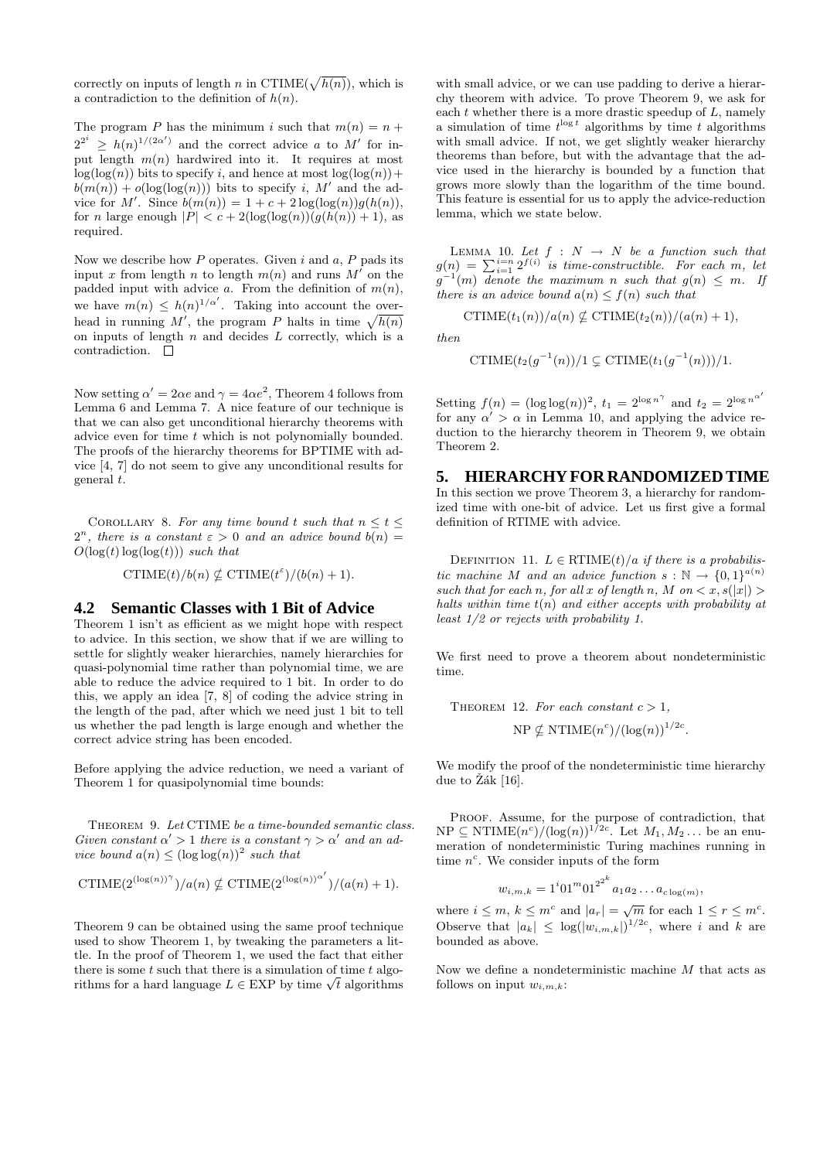correctly on inputs of length n in CTIME( $\sqrt{h(n)}$ ), which is a contradiction to the definition of  $h(n)$ .

The program P has the minimum i such that  $m(n) = n +$  $2^{2^i} \geq h(n)^{1/(2\alpha')}$  and the correct advice a to M' for input length  $m(n)$  hardwired into it. It requires at most  $log(log(n))$  bits to specify i, and hence at most  $log(log(n))+$  $b(m(n)) + o(log(log(n)))$  bits to specify i, M' and the advice for M'. Since  $b(m(n)) = 1 + c + 2 \log(\log(n))g(h(n)),$ for n large enough  $|P| < c + 2(\log(\log(n))(q(h(n)) + 1))$ , as required.

Now we describe how  $P$  operates. Given  $i$  and  $a, P$  pads its input x from length n to length  $m(n)$  and runs M' on the padded input with advice a. From the definition of  $m(n)$ , we have  $m(n) \leq h(n)^{1/\alpha'}$ . Taking into account the overhead in running M', the program P halts in time  $\sqrt{h(n)}$ on inputs of length  $n$  and decides  $L$  correctly, which is a contradiction.  $\square$ 

Now setting  $\alpha' = 2\alpha e$  and  $\gamma = 4\alpha e^2$ , Theorem 4 follows from Lemma 6 and Lemma 7. A nice feature of our technique is that we can also get unconditional hierarchy theorems with advice even for time t which is not polynomially bounded. The proofs of the hierarchy theorems for BPTIME with advice [4, 7] do not seem to give any unconditional results for general t.

COROLLARY 8. For any time bound t such that  $n \leq t \leq$  $2^{n}$ , there is a constant  $\varepsilon > 0$  and an advice bound  $b(n) =$  $O(\log(t) \log(\log(t)))$  such that

CTIME
$$
(t)/b(n) \nsubseteq
$$
CTIME $(t^{\varepsilon})/(b(n) + 1)$ .

#### **4.2 Semantic Classes with 1 Bit of Advice**

Theorem 1 isn't as efficient as we might hope with respect to advice. In this section, we show that if we are willing to settle for slightly weaker hierarchies, namely hierarchies for quasi-polynomial time rather than polynomial time, we are able to reduce the advice required to 1 bit. In order to do this, we apply an idea [7, 8] of coding the advice string in the length of the pad, after which we need just 1 bit to tell us whether the pad length is large enough and whether the correct advice string has been encoded.

Before applying the advice reduction, we need a variant of Theorem 1 for quasipolynomial time bounds:

Theorem 9. Let CTIME be a time-bounded semantic class. Given constant  $\alpha' > 1$  there is a constant  $\gamma > \alpha'$  and an advice bound  $a(n) \leq (\log \log(n))^2$  such that

$$
\text{CTIME}(2^{(\log(n))^\gamma})/a(n) \nsubseteq \text{CTIME}(2^{(\log(n))^{\alpha'}})/(a(n) + 1).
$$

Theorem 9 can be obtained using the same proof technique used to show Theorem 1, by tweaking the parameters a little. In the proof of Theorem 1, we used the fact that either there is some  $t$  such that there is a simulation of time  $t$  algothere is some t such that there is a simulation of time t algorithms for a hard language  $L \in EXP$  by time  $\sqrt{t}$  algorithms

with small advice, or we can use padding to derive a hierarchy theorem with advice. To prove Theorem 9, we ask for each  $t$  whether there is a more drastic speedup of  $L$ , namely a simulation of time  $t^{\log t}$  algorithms by time t algorithms with small advice. If not, we get slightly weaker hierarchy theorems than before, but with the advantage that the advice used in the hierarchy is bounded by a function that grows more slowly than the logarithm of the time bound. This feature is essential for us to apply the advice-reduction lemma, which we state below.

LEMMA 10. Let  $f : N \rightarrow N$  be a function such that  $g(n) = \sum_{i=1}^{i=n} 2^{f(i)}$  is time-constructible. For each m, let  $g^{-1}(m)$  denote the maximum n such that  $g(n) \leq m$ . If there is an advice bound  $a(n) \leq f(n)$  such that

$$
\mathrm{CTIME}(t_1(n))/a(n) \nsubseteq \mathrm{CTIME}(t_2(n))/(a(n)+1),
$$

then

CTIME
$$
(t_2(g^{-1}(n))/1 \subseteq \text{CTIME}(t_1(g^{-1}(n)))/1.
$$

Setting  $f(n) = (\log \log(n))^2$ ,  $t_1 = 2^{\log n^{\gamma}}$  and  $t_2 = 2^{\log n^{\alpha'}}$ for any  $\alpha' > \alpha$  in Lemma 10, and applying the advice reduction to the hierarchy theorem in Theorem 9, we obtain Theorem 2.

### **5. HIERARCHY FOR RANDOMIZED TIME**

In this section we prove Theorem 3, a hierarchy for randomized time with one-bit of advice. Let us first give a formal definition of RTIME with advice.

DEFINITION 11.  $L \in \text{RTIME}(t)/a$  if there is a probabilistic machine M and an advice function  $s : \mathbb{N} \to \{0,1\}^{a(n)}$ such that for each n, for all x of length n, M on  $\langle x, s(|x|) \rangle$ halts within time  $t(n)$  and either accepts with probability at least 1/2 or rejects with probability 1.

We first need to prove a theorem about nondeterministic time.

THEOREM 12. For each constant 
$$
c > 1
$$
,  
NP  $\nsubseteq$  NTIME $(n^c)/(\log(n))^{1/2c}$ .

We modify the proof of the nondeterministic time hierarchy due to  $\check{Z}$ ák [16].

PROOF. Assume, for the purpose of contradiction, that  $NP \subseteq NTIME(n^c)/(\log(n))^{1/2c}$ . Let  $M_1, M_2...$  be an enumeration of nondeterministic Turing machines running in time  $n^c$ . We consider inputs of the form

$$
w_{i,m,k} = 1^{i} 01^{m} 01^{2^{2^{k}}} a_{1} a_{2} \dots a_{c \log(m)},
$$

where  $i \leq m, k \leq m^c$  and  $|a_r| = \sqrt{m}$  for each  $1 \leq r \leq m^c$ . Observe that  $|a_k| \leq \log(|w_{i,m,k}|)^{1/2c}$ , where i and k are bounded as above.

Now we define a nondeterministic machine  $M$  that acts as follows on input  $w_{i,m,k}$ :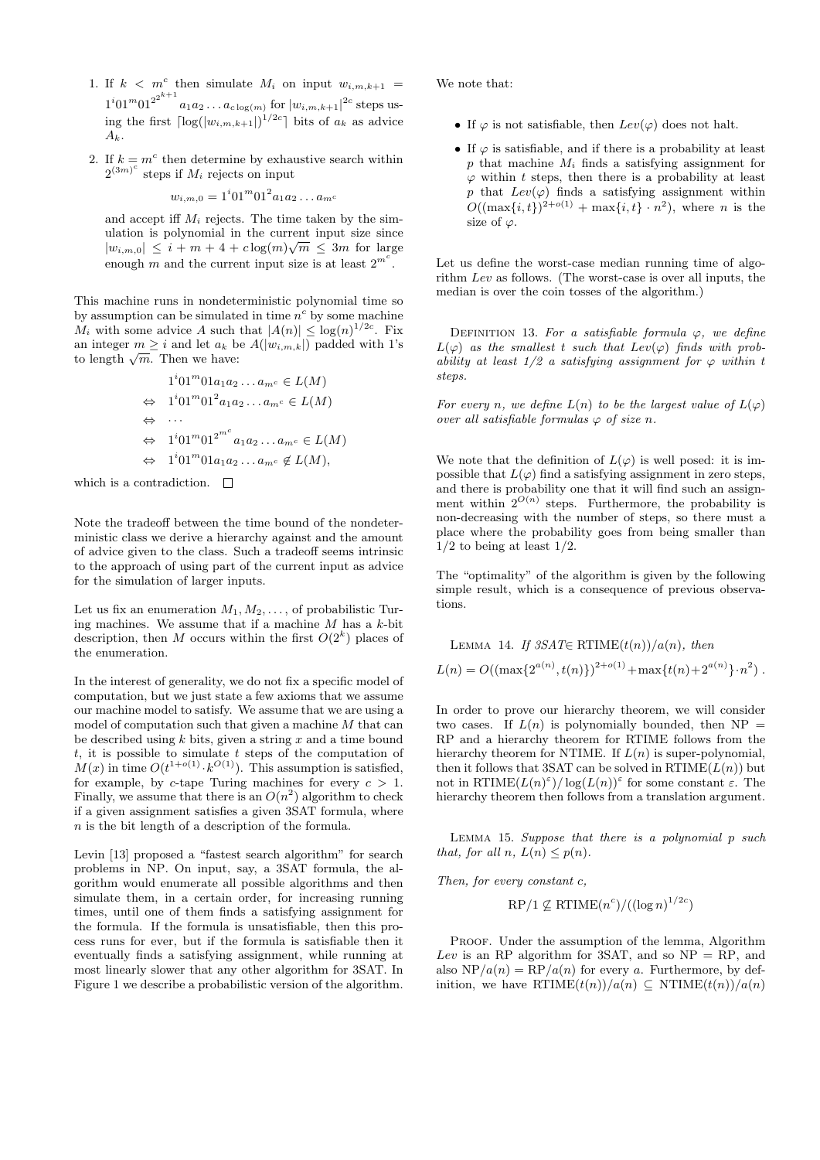- 1. If  $k < m^c$  then simulate  $M_i$  on input  $w_{i,m,k+1} =$  $1^i 01^m 01^{2^{2^{k+1}}} a_1 a_2 \dots a_{c \log(m)}$  for  $|w_{i,m,k+1}|^{2c}$  steps using the first  $\lceil \log(|w_{i,m,k+1}|)^{1/2c} \rceil$  bits of  $a_k$  as advice  $A_k$ .
- 2. If  $k = m^c$  then determine by exhaustive search within  $2^{(3m)^c}$  steps if  $M_i$  rejects on input

$$
w_{i,m,0} = 1^{i} 01^{m} 01^{2} a_{1} a_{2} \dots a_{m} a_{m}
$$

and accept iff  $M_i$  rejects. The time taken by the simulation is polynomial in the current input size since  $|w_{i,m,0}| \leq i+m+4+c \log(m) \sqrt{m} \leq 3m$  for large enough m and the current input size is at least  $2^{m^c}$ .

This machine runs in nondeterministic polynomial time so by assumption can be simulated in time  $n^c$  by some machine  $M_i$  with some advice A such that  $|A(n)| \leq \log(n)^{1/2c}$ . Fix an integer  $m \geq i$  and let  $a_k$  be  $A(|w_{i,m,k}|)$  padded with 1's an integer  $m \geq i$  and let  $a_k$  b<br>to length  $\sqrt{m}$ . Then we have:

$$
1^{i}01^{m}01a_{1}a_{2}\ldots a_{m^{c}} \in L(M)
$$
  
\n
$$
\Leftrightarrow 1^{i}01^{m}01^{2}a_{1}a_{2}\ldots a_{m^{c}} \in L(M)
$$
  
\n
$$
\Leftrightarrow 1^{i}01^{m}01^{2^{m^{c}}}a_{1}a_{2}\ldots a_{m^{c}} \in L(M)
$$
  
\n
$$
\Leftrightarrow 1^{i}01^{m}01a_{1}a_{2}\ldots a_{m^{c}} \notin L(M),
$$

which is a contradiction.  $\Box$ 

Note the tradeoff between the time bound of the nondeterministic class we derive a hierarchy against and the amount of advice given to the class. Such a tradeoff seems intrinsic to the approach of using part of the current input as advice for the simulation of larger inputs.

Let us fix an enumeration  $M_1, M_2, \ldots$ , of probabilistic Turing machines. We assume that if a machine  $M$  has a  $k$ -bit description, then M occurs within the first  $O(2<sup>k</sup>)$  places of the enumeration.

In the interest of generality, we do not fix a specific model of computation, but we just state a few axioms that we assume our machine model to satisfy. We assume that we are using a model of computation such that given a machine M that can be described using  $k$  bits, given a string  $x$  and a time bound  $t$ , it is possible to simulate  $t$  steps of the computation of  $M(x)$  in time  $O(t^{1+o(1)} \cdot k^{O(1)})$ . This assumption is satisfied, for example, by c-tape Turing machines for every  $c > 1$ . Finally, we assume that there is an  $O(n^2)$  algorithm to check if a given assignment satisfies a given 3SAT formula, where n is the bit length of a description of the formula.

Levin [13] proposed a "fastest search algorithm" for search problems in NP. On input, say, a 3SAT formula, the algorithm would enumerate all possible algorithms and then simulate them, in a certain order, for increasing running times, until one of them finds a satisfying assignment for the formula. If the formula is unsatisfiable, then this process runs for ever, but if the formula is satisfiable then it eventually finds a satisfying assignment, while running at most linearly slower that any other algorithm for 3SAT. In Figure 1 we describe a probabilistic version of the algorithm.

We note that:

- If  $\varphi$  is not satisfiable, then  $Lev(\varphi)$  does not halt.
- If  $\varphi$  is satisfiable, and if there is a probability at least p that machine  $M_i$  finds a satisfying assignment for  $\varphi$  within t steps, then there is a probability at least p that  $Lev(\varphi)$  finds a satisfying assignment within  $O((\max\{i,t\})^{2+o(1)} + \max\{i,t\} \cdot n^2)$ , where *n* is the size of  $\varphi$ .

Let us define the worst-case median running time of algorithm Lev as follows. (The worst-case is over all inputs, the median is over the coin tosses of the algorithm.)

DEFINITION 13. For a satisfiable formula  $\varphi$ , we define  $L(\varphi)$  as the smallest t such that  $Lev(\varphi)$  finds with probability at least  $1/2$  a satisfying assignment for  $\varphi$  within t steps.

For every n, we define  $L(n)$  to be the largest value of  $L(\varphi)$ over all satisfiable formulas  $\varphi$  of size n.

We note that the definition of  $L(\varphi)$  is well posed: it is impossible that  $L(\varphi)$  find a satisfying assignment in zero steps, and there is probability one that it will find such an assignment within  $2^{O(n)}$  steps. Furthermore, the probability is non-decreasing with the number of steps, so there must a place where the probability goes from being smaller than  $1/2$  to being at least  $1/2$ .

The "optimality" of the algorithm is given by the following simple result, which is a consequence of previous observations.

LEMMA 14. If 
$$
3SAT \in \mathrm{RTIME}(t(n))/a(n)
$$
, then 
$$
L(n) = O((\max\{2^{a(n)}, t(n)\})^{2+o(1)} + \max\{t(n) + 2^{a(n)}\} \cdot n^2).
$$

In order to prove our hierarchy theorem, we will consider two cases. If  $L(n)$  is polynomially bounded, then NP = RP and a hierarchy theorem for RTIME follows from the hierarchy theorem for NTIME. If  $L(n)$  is super-polynomial, then it follows that 3SAT can be solved in  $\mathrm{RTIME}(L(n))$  but not in  $\mathrm{RTIME}(L(n)^{\varepsilon})/\log(L(n))^{\varepsilon}$  for some constant  $\varepsilon$ . The hierarchy theorem then follows from a translation argument.

LEMMA 15. Suppose that there is a polynomial  $p$  such that, for all n,  $L(n) \leq p(n)$ .

Then, for every constant c,

$$
\mathrm{RP}/1 \not\subseteq \mathrm{RTIME}(n^c)/((\log n)^{1/2c})
$$

PROOF. Under the assumption of the lemma, Algorithm Lev is an RP algorithm for 3SAT, and so  $NP = RP$ , and also  $NP/a(n) = RP/a(n)$  for every a. Furthermore, by definition, we have  $\mathrm{RTIME}(t(n))/a(n) \subseteq \mathrm{NTIME}(t(n))/a(n)$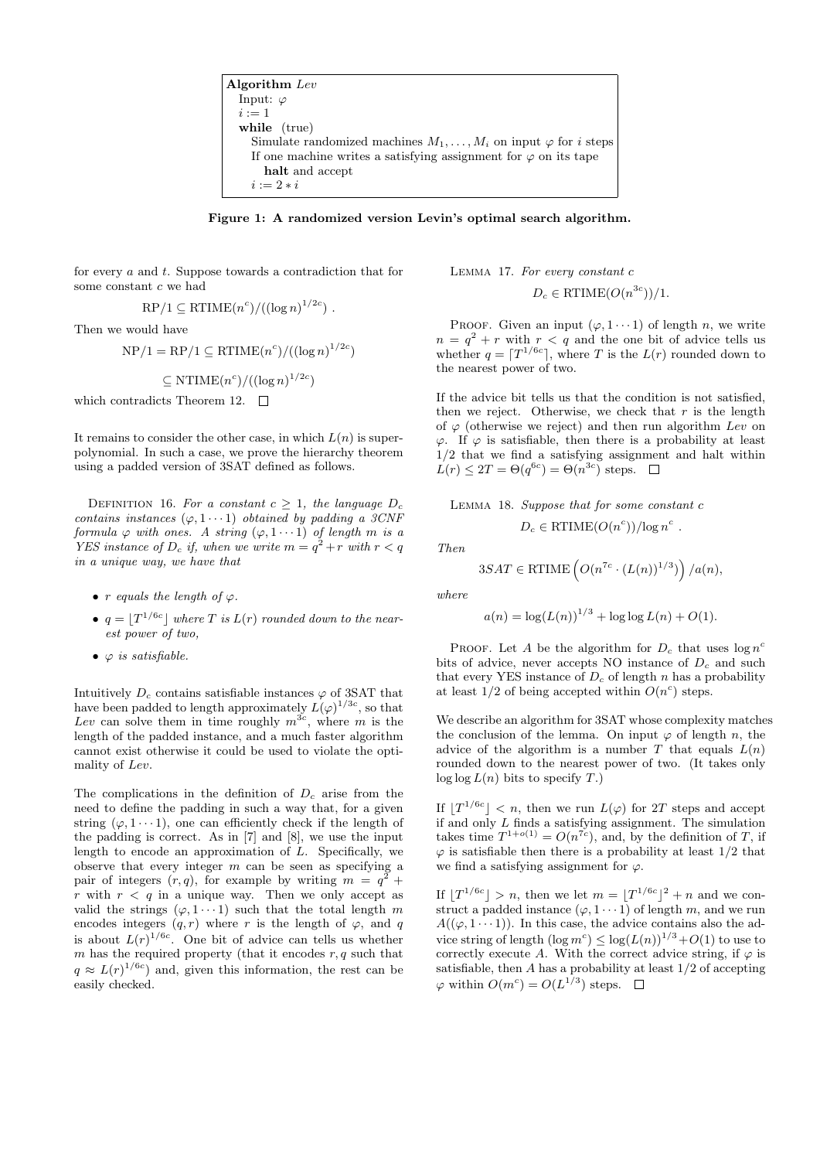Algorithm Lev Input:  $\varphi$  $i := 1$ while (true) Simulate randomized machines  $M_1, \ldots, M_i$  on input  $\varphi$  for *i* steps If one machine writes a satisfying assignment for  $\varphi$  on its tape halt and accept  $i := 2 * i$ 

Figure 1: A randomized version Levin's optimal search algorithm.

for every a and t. Suppose towards a contradiction that for some constant c we had

$$
\mathrm{RP}/1 \subseteq \mathrm{RTIME}(n^c)/((\log n)^{1/2c}) \ .
$$

Then we would have

$$
NP/1 = RP/1 \subseteq RTIME(n^c)/((\log n)^{1/2c})
$$

 $\subseteq$  NTIME $(n^c)/((\log n)^{1/2c})$ 

which contradicts Theorem 12.  $\Box$ 

It remains to consider the other case, in which  $L(n)$  is superpolynomial. In such a case, we prove the hierarchy theorem using a padded version of 3SAT defined as follows.

DEFINITION 16. For a constant  $c \geq 1$ , the language  $D_c$ contains instances  $(\varphi, 1 \cdots 1)$  obtained by padding a 3CNF formula  $\varphi$  with ones. A string  $(\varphi, 1 \cdots 1)$  of length m is a YES instance of  $D_c$  if, when we write  $m = q^2 + r$  with  $r < q$ in a unique way, we have that

- r equals the length of  $\varphi$ .
- $q = |T^{1/6c}|$  where T is  $L(r)$  rounded down to the nearest power of two,
- $\varphi$  is satisfiable.

Intuitively  $D_c$  contains satisfiable instances  $\varphi$  of 3SAT that have been padded to length approximately  $L(\varphi)^{1/3c}$ , so that Lev can solve them in time roughly  $m^{3c}$ , where m is the length of the padded instance, and a much faster algorithm cannot exist otherwise it could be used to violate the optimality of Lev.

The complications in the definition of  $D<sub>c</sub>$  arise from the need to define the padding in such a way that, for a given string  $(\varphi, 1 \cdots 1)$ , one can efficiently check if the length of the padding is correct. As in [7] and [8], we use the input length to encode an approximation of  $L$ . Specifically, we observe that every integer  $m$  can be seen as specifying a pair of integers  $(r, q)$ , for example by writing  $m = q^2 + q^2$ r with  $r < q$  in a unique way. Then we only accept as valid the strings  $(\varphi, 1 \cdots 1)$  such that the total length m encodes integers  $(q, r)$  where r is the length of  $\varphi$ , and q is about  $L(r)^{1/6c}$ . One bit of advice can tells us whether  $m$  has the required property (that it encodes  $r, q$  such that  $q \approx L(r)^{1/6c}$  and, given this information, the rest can be easily checked.

Lemma 17. For every constant c  $D_c \in \text{RTIME}(O(n^{3c}))/1.$ 

PROOF. Given an input  $(\varphi, 1 \cdots 1)$  of length n, we write  $n = q^2 + r$  with  $r < q$  and the one bit of advice tells us whether  $q = \lceil T^{1/6c} \rceil$ , where T is the  $L(r)$  rounded down to the nearest power of two.

If the advice bit tells us that the condition is not satisfied, then we reject. Otherwise, we check that  $r$  is the length of  $\varphi$  (otherwise we reject) and then run algorithm Lev on  $\varphi$ . If  $\varphi$  is satisfiable, then there is a probability at least 1/2 that we find a satisfying assignment and halt within  $L(r) \leq 2T = \Theta(q^{6c}) = \Theta(n^{3c})$  steps.

Lemma 18. Suppose that for some constant c

$$
D_c \in \text{RTIME}(O(n^c))/\log n^c.
$$

$$
Then
$$

$$
3SAT \in \text{RTIME}\left(O(n^{7c} \cdot (L(n))^{1/3})\right)/a(n),
$$

where

$$
a(n) = \log(L(n))^{1/3} + \log \log L(n) + O(1).
$$

PROOF. Let A be the algorithm for  $D_c$  that uses  $\log n^c$ bits of advice, never accepts NO instance of  $D<sub>c</sub>$  and such that every YES instance of  $D_c$  of length n has a probability at least  $1/2$  of being accepted within  $O(n^c)$  steps.

We describe an algorithm for 3SAT whose complexity matches the conclusion of the lemma. On input  $\varphi$  of length n, the advice of the algorithm is a number T that equals  $L(n)$ rounded down to the nearest power of two. (It takes only  $\log \log L(n)$  bits to specify T.

If  $T^{1/6c}$  | < n, then we run  $L(\varphi)$  for 2T steps and accept if and only L finds a satisfying assignment. The simulation takes time  $T^{1+o(1)} = O(n^{7c})$ , and, by the definition of T, if  $\varphi$  is satisfiable then there is a probability at least  $1/2$  that we find a satisfying assignment for  $\varphi$ .

If  $|T^{1/6c}| > n$ , then we let  $m = |T^{1/6c}|^2 + n$  and we construct a padded instance  $(\varphi, 1 \cdots 1)$  of length m, and we run  $A((\varphi, 1 \cdots 1))$ . In this case, the advice contains also the advice string of length  $(\log m^c) \leq \log(L(n))^{1/3} + O(1)$  to use to correctly execute A. With the correct advice string, if  $\varphi$  is satisfiable, then  $A$  has a probability at least  $1/2$  of accepting  $\varphi$  within  $O(m^c) = O(L^{1/3})$  steps.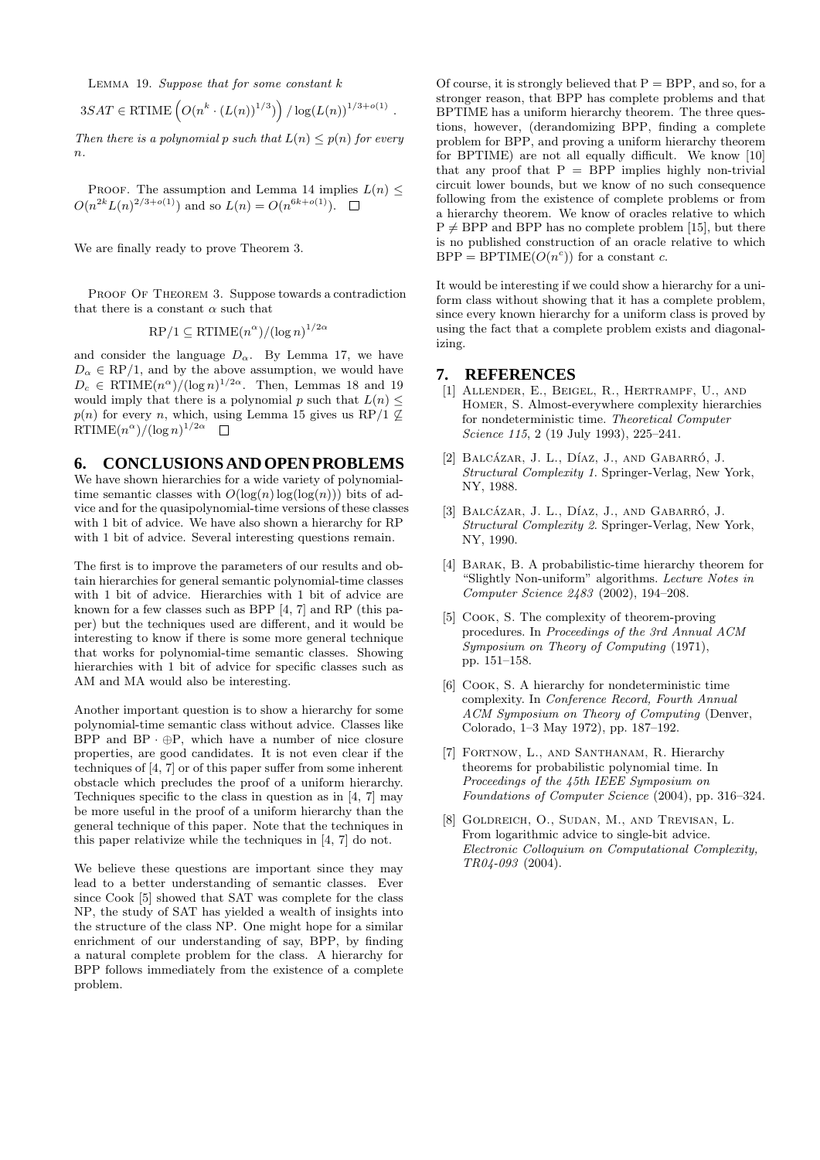LEMMA 19. Suppose that for some constant  $k$ 

$$
3SAT \in RTIME\left(O(n^k \cdot (L(n))^{1/3})\right) / \log(L(n))^{1/3 + o(1)}.
$$

Then there is a polynomial p such that  $L(n) \leq p(n)$  for every  $n$ .

PROOF. The assumption and Lemma 14 implies  $L(n)$  <  $O(n^{2k}L(n)^{2/3+o(1)})$  and so  $L(n) = O(n^{6k+o(1)})$ .

We are finally ready to prove Theorem 3.

PROOF OF THEOREM 3. Suppose towards a contradiction that there is a constant  $\alpha$  such that

$$
\mathsf{RP}/1 \subseteq \mathsf{RTIME}(n^{\alpha})/(\log n)^{1/2\alpha}
$$

and consider the language  $D_{\alpha}$ . By Lemma 17, we have  $D_{\alpha} \in \mathbb{RP}/1$ , and by the above assumption, we would have  $D_c \in \mathrm{RTIME}(n^{\alpha})/(\log n)^{1/2\alpha}$ . Then, Lemmas 18 and 19 would imply that there is a polynomial p such that  $L(n) \leq$  $p(n)$  for every n, which, using Lemma 15 gives us RP/1  $\mathcal{Q}$  $\mathrm{RTIME}(n^{\alpha})/(\log n)^{1/2\alpha}$ 

#### **6. CONCLUSIONS AND OPEN PROBLEMS**

We have shown hierarchies for a wide variety of polynomialtime semantic classes with  $O(\log(n) \log(\log(n)))$  bits of advice and for the quasipolynomial-time versions of these classes with 1 bit of advice. We have also shown a hierarchy for RP with 1 bit of advice. Several interesting questions remain.

The first is to improve the parameters of our results and obtain hierarchies for general semantic polynomial-time classes with 1 bit of advice. Hierarchies with 1 bit of advice are known for a few classes such as BPP [4, 7] and RP (this paper) but the techniques used are different, and it would be interesting to know if there is some more general technique that works for polynomial-time semantic classes. Showing hierarchies with 1 bit of advice for specific classes such as AM and MA would also be interesting.

Another important question is to show a hierarchy for some polynomial-time semantic class without advice. Classes like BPP and  $BP \cdot \bigoplus P$ , which have a number of nice closure properties, are good candidates. It is not even clear if the techniques of [4, 7] or of this paper suffer from some inherent obstacle which precludes the proof of a uniform hierarchy. Techniques specific to the class in question as in [4, 7] may be more useful in the proof of a uniform hierarchy than the general technique of this paper. Note that the techniques in this paper relativize while the techniques in [4, 7] do not.

We believe these questions are important since they may lead to a better understanding of semantic classes. Ever since Cook [5] showed that SAT was complete for the class NP, the study of SAT has yielded a wealth of insights into the structure of the class NP. One might hope for a similar enrichment of our understanding of say, BPP, by finding a natural complete problem for the class. A hierarchy for BPP follows immediately from the existence of a complete problem.

Of course, it is strongly believed that  $P = BPP$ , and so, for a stronger reason, that BPP has complete problems and that BPTIME has a uniform hierarchy theorem. The three questions, however, (derandomizing BPP, finding a complete problem for BPP, and proving a uniform hierarchy theorem for BPTIME) are not all equally difficult. We know [10] that any proof that  $P = BPP$  implies highly non-trivial circuit lower bounds, but we know of no such consequence following from the existence of complete problems or from a hierarchy theorem. We know of oracles relative to which  $P \neq BPP$  and BPP has no complete problem [15], but there is no published construction of an oracle relative to which  $BPP = BPTIME(O(n<sup>c</sup>))$  for a constant c.

It would be interesting if we could show a hierarchy for a uniform class without showing that it has a complete problem, since every known hierarchy for a uniform class is proved by using the fact that a complete problem exists and diagonalizing.

#### **7. REFERENCES**

- [1] Allender, E., Beigel, R., Hertrampf, U., and Homer, S. Almost-everywhere complexity hierarchies for nondeterministic time. Theoretical Computer Science 115, 2 (19 July 1993), 225–241.
- [2] BALCÁZAR, J. L., DÍAZ, J., AND GABARRÓ, J. Structural Complexity 1. Springer-Verlag, New York, NY, 1988.
- [3] BALCÁZAR, J. L., DÍAZ, J., AND GABARRÓ, J. Structural Complexity 2. Springer-Verlag, New York, NY, 1990.
- [4] BARAK, B. A probabilistic-time hierarchy theorem for "Slightly Non-uniform" algorithms. Lecture Notes in Computer Science 2483 (2002), 194–208.
- [5] Cook, S. The complexity of theorem-proving procedures. In Proceedings of the 3rd Annual ACM Symposium on Theory of Computing (1971), pp. 151–158.
- [6] COOK, S. A hierarchy for nondeterministic time complexity. In Conference Record, Fourth Annual ACM Symposium on Theory of Computing (Denver, Colorado, 1–3 May 1972), pp. 187–192.
- [7] Fortnow, L., and Santhanam, R. Hierarchy theorems for probabilistic polynomial time. In Proceedings of the 45th IEEE Symposium on Foundations of Computer Science (2004), pp. 316–324.
- [8] Goldreich, O., Sudan, M., and Trevisan, L. From logarithmic advice to single-bit advice. Electronic Colloquium on Computational Complexity, TR04-093 (2004).